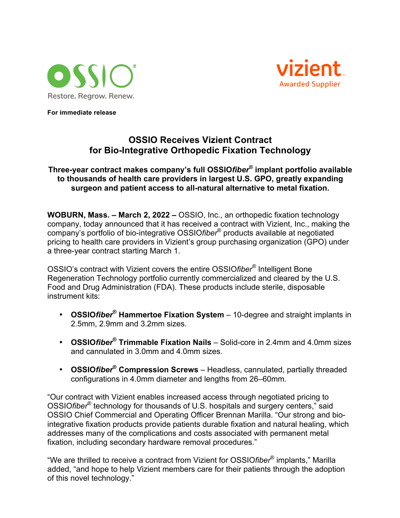



**For immediate release**

## **OSSIO Receives Vizient Contract for Bio-Integrative Orthopedic Fixation Technology**

## **Three-year contract makes company's full OSSIO***fiber***® implant portfolio available to thousands of health care providers in largest U.S. GPO, greatly expanding surgeon and patient access to all-natural alternative to metal fixation.**

**WOBURN, Mass. – March 2, 2022 –** OSSIO, Inc., an orthopedic fixation technology company, today announced that it has received a contract with Vizient, Inc., making the company's portfolio of bio-integrative OSSIO*fiber*® products available at negotiated pricing to health care providers in Vizient's group purchasing organization (GPO) under a three-year contract starting March 1.

OSSIO's contract with Vizient covers the entire OSSIO*fiber®* Intelligent Bone Regeneration Technology portfolio currently commercialized and cleared by the U.S. Food and Drug Administration (FDA). These products include sterile, disposable instrument kits:

- **OSSIO***fiber***® Hammertoe Fixation System** 10-degree and straight implants in 2.5mm, 2.9mm and 3.2mm sizes.
- **OSSIO***fiber***® Trimmable Fixation Nails** Solid-core in 2.4mm and 4.0mm sizes and cannulated in 3.0mm and 4.0mm sizes.
- **OSSIO***fiber***® Compression Screws** Headless, cannulated, partially threaded configurations in 4.0mm diameter and lengths from 26–60mm.

"Our contract with Vizient enables increased access through negotiated pricing to OSSIO*fiber*® technology for thousands of U.S. hospitals and surgery centers," said OSSIO Chief Commercial and Operating Officer Brennan Marilla. "Our strong and biointegrative fixation products provide patients durable fixation and natural healing, which addresses many of the complications and costs associated with permanent metal fixation, including secondary hardware removal procedures."

"We are thrilled to receive a contract from Vizient for OSSIO*fiber*® implants," Marilla added, "and hope to help Vizient members care for their patients through the adoption of this novel technology."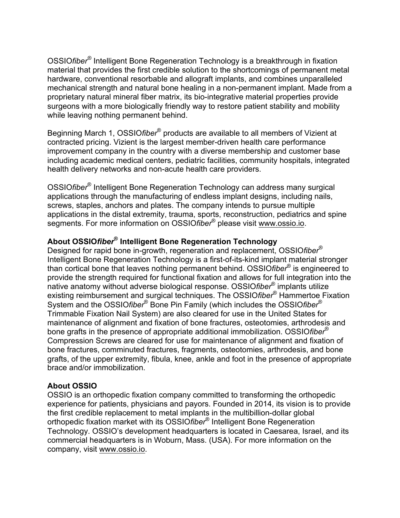OSSIO*fiber®* Intelligent Bone Regeneration Technology is a breakthrough in fixation material that provides the first credible solution to the shortcomings of permanent metal hardware, conventional resorbable and allograft implants, and combines unparalleled mechanical strength and natural bone healing in a non-permanent implant. Made from a proprietary natural mineral fiber matrix, its bio-integrative material properties provide surgeons with a more biologically friendly way to restore patient stability and mobility while leaving nothing permanent behind.

Beginning March 1, OSSIO*fiber*® products are available to all members of Vizient at contracted pricing. Vizient is the largest member-driven health care performance improvement company in the country with a diverse membership and customer base including academic medical centers, pediatric facilities, community hospitals, integrated health delivery networks and non-acute health care providers.

OSSIO*fiber*® Intelligent Bone Regeneration Technology can address many surgical applications through the manufacturing of endless implant designs, including nails, screws, staples, anchors and plates. The company intends to pursue multiple applications in the distal extremity, trauma, sports, reconstruction, pediatrics and spine segments. For more information on OSSIO*fiber*® please visit www.ossio.io.

## **About OSSIO***fiber***® Intelligent Bone Regeneration Technology**

Designed for rapid bone in-growth, regeneration and replacement, OSSIO*fiber*® Intelligent Bone Regeneration Technology is a first-of-its-kind implant material stronger than cortical bone that leaves nothing permanent behind. OSSIO*fiber*® is engineered to provide the strength required for functional fixation and allows for full integration into the native anatomy without adverse biological response. OSSIO*fiber*® implants utilize existing reimbursement and surgical techniques. The OSSIO*fiber*® Hammertoe Fixation System and the OSSIO*fiber*® Bone Pin Family (which includes the OSSIO*fiber*® Trimmable Fixation Nail System) are also cleared for use in the United States for maintenance of alignment and fixation of bone fractures, osteotomies, arthrodesis and bone grafts in the presence of appropriate additional immobilization. OSSIO*fiber*® Compression Screws are cleared for use for maintenance of alignment and fixation of bone fractures, comminuted fractures, fragments, osteotomies, arthrodesis, and bone grafts, of the upper extremity, fibula, knee, ankle and foot in the presence of appropriate brace and/or immobilization.

## **About OSSIO**

OSSIO is an orthopedic fixation company committed to transforming the orthopedic experience for patients, physicians and payors. Founded in 2014, its vision is to provide the first credible replacement to metal implants in the multibillion-dollar global orthopedic fixation market with its OSSIO*fiber*® Intelligent Bone Regeneration Technology. OSSIO's development headquarters is located in Caesarea, Israel, and its commercial headquarters is in Woburn, Mass. (USA). For more information on the company, visit www.ossio.io.